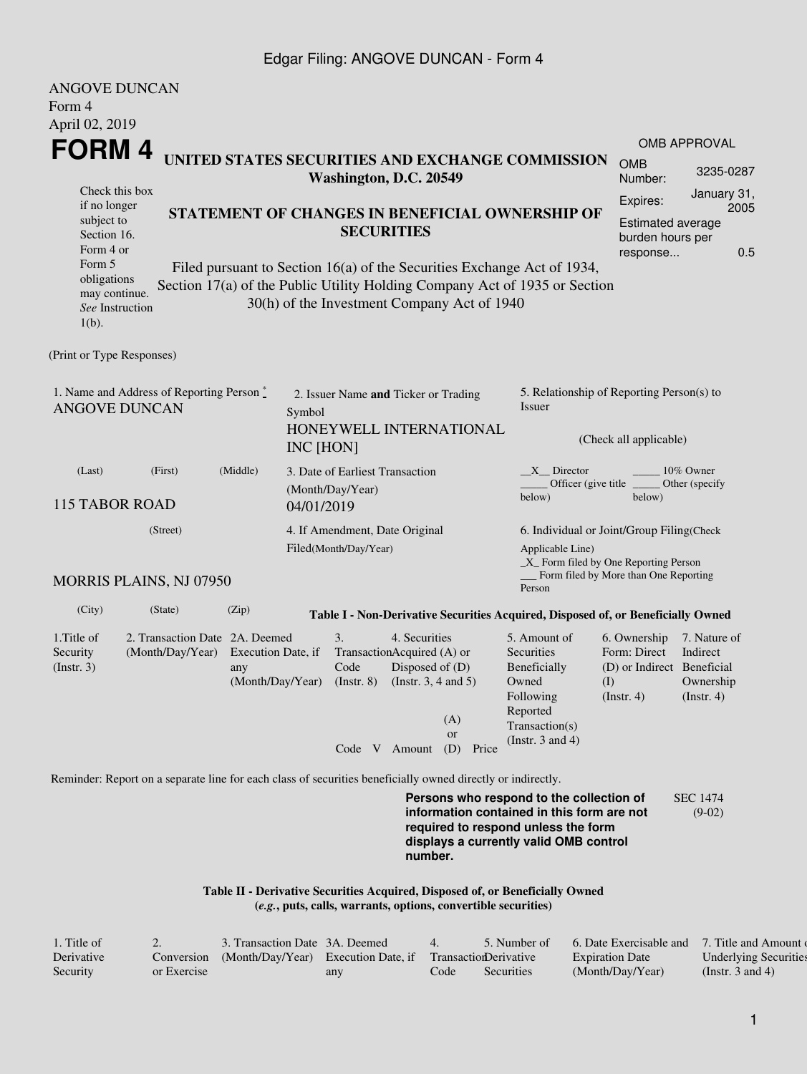## Edgar Filing: ANGOVE DUNCAN - Form 4

| <b>ANGOVE DUNCAN</b><br>Form 4                                                                               |                                                    |                                                  |                                                                   |                                                                                                                                                                                                                                                                                                        |                                                                                                                                                                         |                                                                           |                                                           |  |  |
|--------------------------------------------------------------------------------------------------------------|----------------------------------------------------|--------------------------------------------------|-------------------------------------------------------------------|--------------------------------------------------------------------------------------------------------------------------------------------------------------------------------------------------------------------------------------------------------------------------------------------------------|-------------------------------------------------------------------------------------------------------------------------------------------------------------------------|---------------------------------------------------------------------------|-----------------------------------------------------------|--|--|
| April 02, 2019                                                                                               |                                                    |                                                  |                                                                   |                                                                                                                                                                                                                                                                                                        |                                                                                                                                                                         |                                                                           | <b>OMB APPROVAL</b>                                       |  |  |
| FORM 4                                                                                                       |                                                    | UNITED STATES SECURITIES AND EXCHANGE COMMISSION | <b>OMB</b><br>Number:                                             | 3235-0287                                                                                                                                                                                                                                                                                              |                                                                                                                                                                         |                                                                           |                                                           |  |  |
| if no longer<br>subject to<br>Section 16.<br>Form 4 or<br>Form 5<br>obligations<br>may continue.<br>$1(b)$ . | Check this box<br>See Instruction                  |                                                  |                                                                   | Washington, D.C. 20549<br>STATEMENT OF CHANGES IN BENEFICIAL OWNERSHIP OF<br><b>SECURITIES</b><br>Filed pursuant to Section 16(a) of the Securities Exchange Act of 1934,<br>Section 17(a) of the Public Utility Holding Company Act of 1935 or Section<br>30(h) of the Investment Company Act of 1940 |                                                                                                                                                                         | Expires:<br><b>Estimated average</b><br>burden hours per<br>response      | January 31,<br>2005<br>0.5                                |  |  |
| (Print or Type Responses)                                                                                    |                                                    |                                                  |                                                                   |                                                                                                                                                                                                                                                                                                        |                                                                                                                                                                         |                                                                           |                                                           |  |  |
| 1. Name and Address of Reporting Person $\stackrel{*}{\mathbb{L}}$<br><b>ANGOVE DUNCAN</b>                   |                                                    |                                                  | Symbol<br>INC [HON]                                               | 2. Issuer Name and Ticker or Trading<br>HONEYWELL INTERNATIONAL                                                                                                                                                                                                                                        | 5. Relationship of Reporting Person(s) to<br>Issuer<br>(Check all applicable)                                                                                           |                                                                           |                                                           |  |  |
| (Middle)<br>(Last)<br>(First)<br><b>115 TABOR ROAD</b>                                                       |                                                    |                                                  | 3. Date of Earliest Transaction<br>(Month/Day/Year)<br>04/01/2019 |                                                                                                                                                                                                                                                                                                        | $X$ Director<br>below)                                                                                                                                                  | 10% Owner<br>Officer (give title<br>Other (specify<br>below)              |                                                           |  |  |
|                                                                                                              | (Street)                                           |                                                  | 4. If Amendment, Date Original<br>Filed(Month/Day/Year)           | 6. Individual or Joint/Group Filing(Check<br>_X_ Form filed by One Reporting Person                                                                                                                                                                                                                    |                                                                                                                                                                         |                                                                           |                                                           |  |  |
|                                                                                                              | <b>MORRIS PLAINS, NJ 07950</b>                     |                                                  |                                                                   |                                                                                                                                                                                                                                                                                                        | Form filed by More than One Reporting<br>Person                                                                                                                         |                                                                           |                                                           |  |  |
| (City)                                                                                                       | (State)                                            | (Zip)                                            |                                                                   | Table I - Non-Derivative Securities Acquired, Disposed of, or Beneficially Owned                                                                                                                                                                                                                       |                                                                                                                                                                         |                                                                           |                                                           |  |  |
| 1. Title of<br>Security<br>(Insert. 3)                                                                       | 2. Transaction Date 2A. Deemed<br>(Month/Day/Year) | Execution Date, if<br>any<br>(Month/Day/Year)    | 3.<br>Code<br>$($ Instr. $8)$<br>Code V Amount                    | 4. Securities<br>TransactionAcquired (A) or<br>Disposed of (D)<br>(Instr. $3, 4$ and $5$ )<br>(A)<br><b>or</b><br>(D)<br>Price                                                                                                                                                                         | 5. Amount of<br>Securities<br>Beneficially<br>Owned<br>(I)<br>Following<br>Reported<br>Transaction(s)<br>(Instr. $3$ and $4$ )                                          | 6. Ownership<br>Form: Direct<br>(D) or Indirect Beneficial<br>(Insert. 4) | 7. Nature of<br>Indirect<br>Ownership<br>$($ Instr. 4 $)$ |  |  |
|                                                                                                              |                                                    |                                                  |                                                                   | Reminder: Report on a separate line for each class of securities beneficially owned directly or indirectly.                                                                                                                                                                                            | Persons who respond to the collection of<br>information contained in this form are not<br>required to respond unless the form<br>displays a currently valid OMB control |                                                                           | <b>SEC 1474</b><br>$(9-02)$                               |  |  |

**Table II - Derivative Securities Acquired, Disposed of, or Beneficially Owned**

| $(e.g., puts, calls, warrants, options, convertible securities)$ |  |  |  |  |  |  |  |  |  |
|------------------------------------------------------------------|--|--|--|--|--|--|--|--|--|
|                                                                  |  |  |  |  |  |  |  |  |  |

**number.**

| 1. Title of |             | 3. Transaction Date 3A. Deemed                 |     |      | 5. Number of          | 6. Date Exercisable and 7. Title and Amount of |                              |
|-------------|-------------|------------------------------------------------|-----|------|-----------------------|------------------------------------------------|------------------------------|
| Derivative  |             | Conversion (Month/Day/Year) Execution Date, if |     |      | TransactionDerivative | <b>Expiration Date</b>                         | <b>Underlying Securities</b> |
| Security    | or Exercise |                                                | any | Code | Securities            | (Month/Day/Year)                               | (Instr. 3 and 4)             |